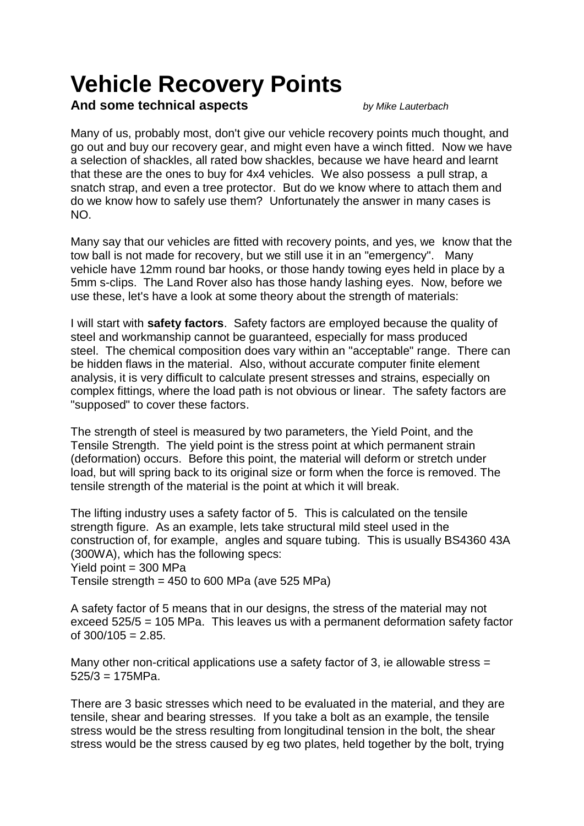# **Vehicle Recovery Points**

## **And some technical aspects** *by Mike Lauterbach*

Many of us, probably most, don't give our vehicle recovery points much thought, and go out and buy our recovery gear, and might even have a winch fitted. Now we have a selection of shackles, all rated bow shackles, because we have heard and learnt that these are the ones to buy for 4x4 vehicles. We also possess a pull strap, a snatch strap, and even a tree protector. But do we know where to attach them and do we know how to safely use them? Unfortunately the answer in many cases is NO.

Many say that our vehicles are fitted with recovery points, and yes, we know that the tow ball is not made for recovery, but we still use it in an "emergency". Many vehicle have 12mm round bar hooks, or those handy towing eyes held in place by a 5mm s-clips. The Land Rover also has those handy lashing eyes. Now, before we use these, let's have a look at some theory about the strength of materials:

I will start with **safety factors**. Safety factors are employed because the quality of steel and workmanship cannot be guaranteed, especially for mass produced steel. The chemical composition does vary within an "acceptable" range. There can be hidden flaws in the material. Also, without accurate computer finite element analysis, it is very difficult to calculate present stresses and strains, especially on complex fittings, where the load path is not obvious or linear. The safety factors are "supposed" to cover these factors.

The strength of steel is measured by two parameters, the Yield Point, and the Tensile Strength. The yield point is the stress point at which permanent strain (deformation) occurs. Before this point, the material will deform or stretch under load, but will spring back to its original size or form when the force is removed. The tensile strength of the material is the point at which it will break.

The lifting industry uses a safety factor of 5. This is calculated on the tensile strength figure. As an example, lets take structural mild steel used in the construction of, for example, angles and square tubing. This is usually BS4360 43A (300WA), which has the following specs: Yield point = 300 MPa Tensile strength =  $450$  to 600 MPa (ave 525 MPa)

A safety factor of 5 means that in our designs, the stress of the material may not exceed 525/5 = 105 MPa. This leaves us with a permanent deformation safety factor

of  $300/105 = 2.85$ .

Many other non-critical applications use a safety factor of 3, ie allowable stress  $=$  $525/3 = 175 MPa$ .

There are 3 basic stresses which need to be evaluated in the material, and they are tensile, shear and bearing stresses. If you take a bolt as an example, the tensile stress would be the stress resulting from longitudinal tension in the bolt, the shear stress would be the stress caused by eg two plates, held together by the bolt, trying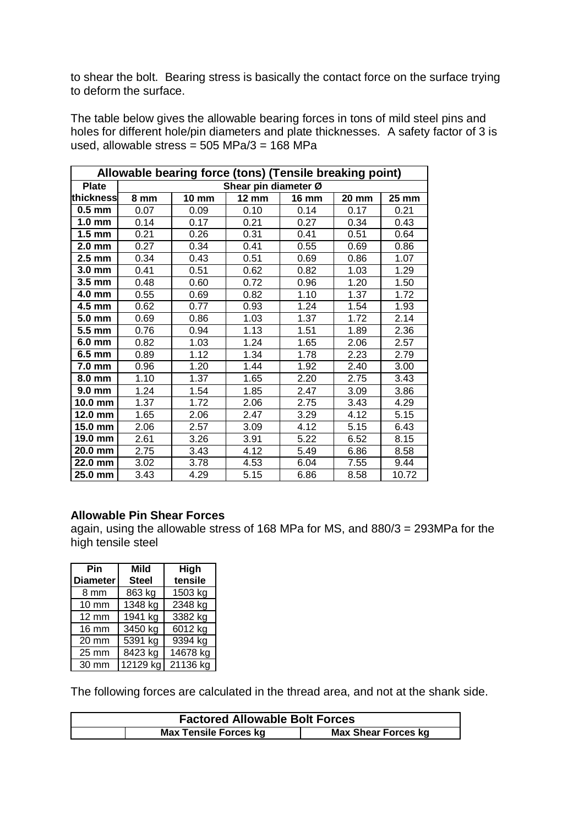to shear the bolt. Bearing stress is basically the contact force on the surface trying to deform the surface.

The table below gives the allowable bearing forces in tons of mild steel pins and holes for different hole/pin diameters and plate thicknesses. A safety factor of 3 is used, allowable stress =  $505$  MPa/3 =  $168$  MPa

| Allowable bearing force (tons) (Tensile breaking point) |                      |              |              |              |              |       |
|---------------------------------------------------------|----------------------|--------------|--------------|--------------|--------------|-------|
| <b>Plate</b>                                            | Shear pin diameter Ø |              |              |              |              |       |
| thickness                                               | 8 mm                 | <b>10 mm</b> | <b>12 mm</b> | <b>16 mm</b> | <b>20 mm</b> | 25 mm |
| $0.5$ mm                                                | 0.07                 | 0.09         | 0.10         | 0.14         | 0.17         | 0.21  |
| $1.0 \text{ mm}$                                        | 0.14                 | 0.17         | 0.21         | 0.27         | 0.34         | 0.43  |
| $1.5 \text{ mm}$                                        | 0.21                 | 0.26         | 0.31         | 0.41         | 0.51         | 0.64  |
| $2.0$ mm                                                | 0.27                 | 0.34         | 0.41         | 0.55         | 0.69         | 0.86  |
| $2.5 \text{ mm}$                                        | 0.34                 | 0.43         | 0.51         | 0.69         | 0.86         | 1.07  |
| 3.0 mm                                                  | 0.41                 | 0.51         | 0.62         | 0.82         | 1.03         | 1.29  |
| 3.5 mm                                                  | 0.48                 | 0.60         | 0.72         | 0.96         | 1.20         | 1.50  |
| 4.0 mm                                                  | 0.55                 | 0.69         | 0.82         | 1.10         | 1.37         | 1.72  |
| 4.5 mm                                                  | 0.62                 | 0.77         | 0.93         | 1.24         | 1.54         | 1.93  |
| 5.0 mm                                                  | 0.69                 | 0.86         | 1.03         | 1.37         | 1.72         | 2.14  |
| 5.5 mm                                                  | 0.76                 | 0.94         | 1.13         | 1.51         | 1.89         | 2.36  |
| 6.0 mm                                                  | 0.82                 | 1.03         | 1.24         | 1.65         | 2.06         | 2.57  |
| 6.5 mm                                                  | 0.89                 | 1.12         | 1.34         | 1.78         | 2.23         | 2.79  |
| 7.0 mm                                                  | 0.96                 | 1.20         | 1.44         | 1.92         | 2.40         | 3.00  |
| 8.0 mm                                                  | 1.10                 | 1.37         | 1.65         | 2.20         | 2.75         | 3.43  |
| 9.0 mm                                                  | 1.24                 | 1.54         | 1.85         | 2.47         | 3.09         | 3.86  |
| 10.0 mm                                                 | 1.37                 | 1.72         | 2.06         | 2.75         | 3.43         | 4.29  |
| 12.0 mm                                                 | 1.65                 | 2.06         | 2.47         | 3.29         | 4.12         | 5.15  |
| 15.0 mm                                                 | 2.06                 | 2.57         | 3.09         | 4.12         | 5.15         | 6.43  |
| 19.0 mm                                                 | 2.61                 | 3.26         | 3.91         | 5.22         | 6.52         | 8.15  |
| 20.0 mm                                                 | 2.75                 | 3.43         | 4.12         | 5.49         | 6.86         | 8.58  |
| 22.0 mm                                                 | 3.02                 | 3.78         | 4.53         | 6.04         | 7.55         | 9.44  |
| 25.0 mm                                                 | 3.43                 | 4.29         | 5.15         | 6.86         | 8.58         | 10.72 |

#### **Allowable Pin Shear Forces**

again, using the allowable stress of 168 MPa for MS, and 880/3 = 293MPa for the high tensile steel

| Pin<br><b>Diameter</b> | <b>Mild</b><br><b>Steel</b> | High<br>tensile |  |
|------------------------|-----------------------------|-----------------|--|
| 8 mm                   | 863 kg                      | 1503 kg         |  |
| 10 mm                  | 1348 kg                     | 2348 kg         |  |
| $12 \text{ mm}$        | 1941 kg                     | 3382 kg         |  |
| <b>16 mm</b>           | 3450 kg                     | 6012 kg         |  |
| $20 \text{ mm}$        | 5391 kg                     | 9394 kg         |  |
| 25 mm                  | $\overline{8}$ 423 kg       | 14678 kg        |  |
| 30 mm                  | $\frac{1}{2}129$ kg         | 21136 kg        |  |

The following forces are calculated in the thread area, and not at the shank side.

| <b>Factored Allowable Bolt Forces</b> |                              |                            |  |  |  |
|---------------------------------------|------------------------------|----------------------------|--|--|--|
|                                       | <b>Max Tensile Forces kg</b> | <b>Max Shear Forces kg</b> |  |  |  |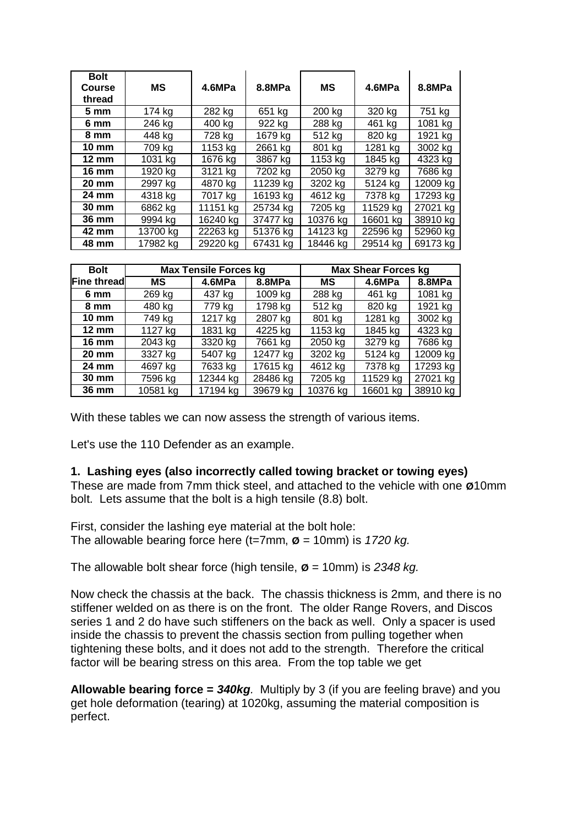| <b>Bolt</b><br>Course<br>thread | <b>MS</b> | 4.6MPa   | 8.8MPa   | МS       | 4.6MPa   | 8.8MPa   |
|---------------------------------|-----------|----------|----------|----------|----------|----------|
| $5 \text{ mm}$                  | 174 kg    | 282 kg   | 651 kg   | 200 kg   | 320 kg   | 751 kg   |
| 6 mm                            | 246 kg    | 400 kg   | 922 kg   | 288 kg   | 461 kg   | 1081 kg  |
| 8 mm                            | 448 kg    | 728 kg   | 1679 kg  | 512 kg   | 820 kg   | 1921 kg  |
| $10 \text{ mm}$                 | 709 kg    | 1153 kg  | 2661 kg  | 801 kg   | 1281 kg  | 3002 kg  |
| $12 \text{ mm}$                 | 1031 kg   | 1676 kg  | 3867 kg  | 1153 kg  | 1845 kg  | 4323 kg  |
| <b>16 mm</b>                    | 1920 kg   | 3121 kg  | 7202 kg  | 2050 kg  | 3279 kg  | 7686 kg  |
| <b>20 mm</b>                    | 2997 kg   | 4870 kg  | 11239 kg | 3202 kg  | 5124 kg  | 12009 kg |
| 24 mm                           | 4318 ka   | 7017 ka  | 16193 kg | 4612 kg  | 7378 kg  | 17293 kg |
| $30 \text{ mm}$                 | 6862 kg   | 11151 kg | 25734 kg | 7205 kg  | 11529 kg | 27021 kg |
| 36 mm                           | 9994 kg   | 16240 kg | 37477 kg | 10376 kg | 16601 kg | 38910 kg |
| 42 mm                           | 13700 kg  | 22263 kg | 51376 kg | 14123 kg | 22596 kg | 52960 kg |
| 48 mm                           | 17982 kg  | 29220 kg | 67431 kg | 18446 kg | 29514 kg | 69173 kg |

| <b>Bolt</b>     | <b>Max Tensile Forces kg</b> |          |          | <b>Max Shear Forces kg</b> |          |          |
|-----------------|------------------------------|----------|----------|----------------------------|----------|----------|
| Fine thread     | МS                           | 4.6MPa   | 8.8MPa   | MS                         | 4.6MPa   | 8.8MPa   |
| 6 mm            | 269 kg                       | 437 kg   | 1009 kg  | 288 kg                     | 461 kg   | 1081 kg  |
| 8 mm            | 480 kg                       | 779 kg   | 1798 kg  | 512 kg                     | 820 kg   | 1921 kg  |
| $10 \text{ mm}$ | 749 kg                       | 1217 kg  | 2807 kg  | 801 kg                     | 1281 kg  | 3002 kg  |
| $12 \text{ mm}$ | 1127 kg                      | 1831 kg  | 4225 kg  | 1153 kg                    | 1845 kg  | 4323 kg  |
| $16 \text{ mm}$ | 2043 kg                      | 3320 kg  | 7661 kg  | 2050 kg                    | 3279 kg  | 7686 kg  |
| $20 \text{ mm}$ | 3327 kg                      | 5407 kg  | 12477 kg | 3202 kg                    | 5124 kg  | 12009 kg |
| 24 mm           | 4697 kg                      | 7633 kg  | 17615 kg | 4612 kg                    | 7378 kg  | 17293 kg |
| 30 mm           | 7596 kg                      | 12344 kg | 28486 kg | 7205 kg                    | 11529 kg | 27021 kg |
| 36 mm           | 10581 kg                     | 17194 kg | 39679 kg | 10376 kg                   | 16601 kg | 38910 kg |

With these tables we can now assess the strength of various items.

Let's use the 110 Defender as an example.

#### **1. Lashing eyes (also incorrectly called towing bracket or towing eyes)**

These are made from 7mm thick steel, and attached to the vehicle with one **Ø**10mm bolt. Lets assume that the bolt is a high tensile (8.8) bolt.

First, consider the lashing eye material at the bolt hole: The allowable bearing force here (t=7mm, **Ø** = 10mm) is *1720 kg.*

The allowable bolt shear force (high tensile, **Ø** = 10mm) is *2348 kg.*

Now check the chassis at the back. The chassis thickness is 2mm, and there is no stiffener welded on as there is on the front. The older Range Rovers, and Discos series 1 and 2 do have such stiffeners on the back as well. Only a spacer is used inside the chassis to prevent the chassis section from pulling together when tightening these bolts, and it does not add to the strength. Therefore the critical factor will be bearing stress on this area. From the top table we get

**Allowable bearing force =** *340kg.* Multiply by 3 (if you are feeling brave) and you get hole deformation (tearing) at 1020kg, assuming the material composition is perfect.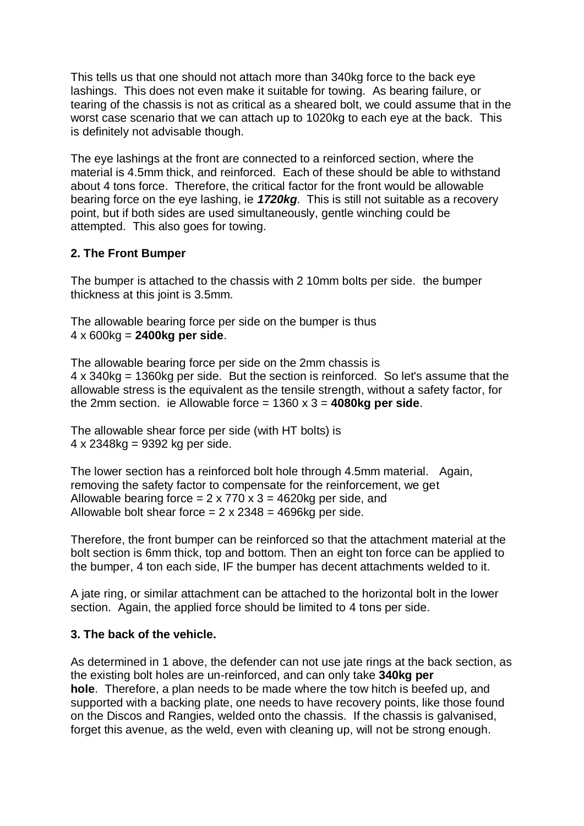This tells us that one should not attach more than 340kg force to the back eye lashings. This does not even make it suitable for towing. As bearing failure, or tearing of the chassis is not as critical as a sheared bolt, we could assume that in the worst case scenario that we can attach up to 1020kg to each eye at the back. This is definitely not advisable though.

The eye lashings at the front are connected to a reinforced section, where the material is 4.5mm thick, and reinforced. Each of these should be able to withstand about 4 tons force. Therefore, the critical factor for the front would be allowable bearing force on the eye lashing, ie *1720kg.* This is still not suitable as a recovery point, but if both sides are used simultaneously, gentle winching could be attempted. This also goes for towing.

### **2. The Front Bumper**

The bumper is attached to the chassis with 2 10mm bolts per side. the bumper thickness at this joint is 3.5mm.

The allowable bearing force per side on the bumper is thus 4 x 600kg = **2400kg per side**.

The allowable bearing force per side on the 2mm chassis is 4 x 340kg = 1360kg per side. But the section is reinforced. So let's assume that the allowable stress is the equivalent as the tensile strength, without a safety factor, for the 2mm section. ie Allowable force = 1360 x 3 = **4080kg per side**.

The allowable shear force per side (with HT bolts) is 4 x 2348kg = 9392 kg per side.

The lower section has a reinforced bolt hole through 4.5mm material. Again, removing the safety factor to compensate for the reinforcement, we get Allowable bearing force  $= 2 \times 770 \times 3 = 4620$ kg per side, and Allowable bolt shear force  $= 2 \times 2348 = 4696$  kg per side.

Therefore, the front bumper can be reinforced so that the attachment material at the bolt section is 6mm thick, top and bottom. Then an eight ton force can be applied to the bumper, 4 ton each side, IF the bumper has decent attachments welded to it.

A jate ring, or similar attachment can be attached to the horizontal bolt in the lower section. Again, the applied force should be limited to 4 tons per side.

#### **3. The back of the vehicle.**

As determined in 1 above, the defender can not use jate rings at the back section, as the existing bolt holes are un-reinforced, and can only take **340kg per hole**. Therefore, a plan needs to be made where the tow hitch is beefed up, and supported with a backing plate, one needs to have recovery points, like those found on the Discos and Rangies, welded onto the chassis. If the chassis is galvanised, forget this avenue, as the weld, even with cleaning up, will not be strong enough.